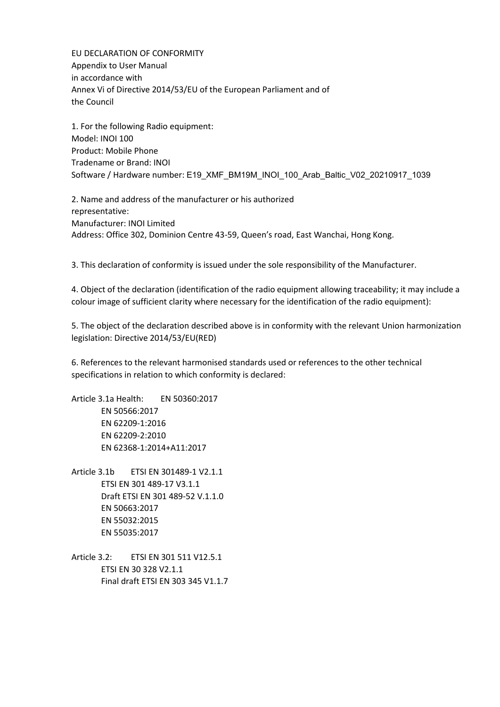EU DECLARATION OF CONFORMITY Appendix to User Manual in accordance with Annex Vi of Directive 2014/53/EU of the European Parliament and of the Council

1. For the following Radio equipment: Model: INOI 100 Product: Mobile Phone Tradename or Brand: INOI Software / Hardware number: E19\_XMF\_BM19M\_INOI\_100\_Arab\_Baltic\_V02\_20210917\_1039

2. Name and address of the manufacturer or his authorized representative: Manufacturer: INOI Limited Address: Office 302, Dominion Centre 43-59, Queen's road, East Wanchai, Hong Kong.

3. This declaration of conformity is issued under the sole responsibility of the Manufacturer.

4. Object of the declaration (identification of the radio equipment allowing traceability; it may include a colour image of sufficient clarity where necessary for the identification of the radio equipment):

5. The object of the declaration described above is in conformity with the relevant Union harmonization legislation: Directive 2014/53/EU(RED)

6. References to the relevant harmonised standards used or references to the other technical specifications in relation to which conformity is declared:

Article 3.1a Health: EN 50360:2017 EN 50566:2017 EN 62209-1:2016 EN 62209-2:2010 EN 62368-1:2014+A11:2017

- Article 3.1b ETSI EN 301489-1 V2.1.1 ETSI EN 301 489-17 V3.1.1 Draft ETSI EN 301 489-52 V.1.1.0 EN 50663:2017 EN 55032:2015 EN 55035:2017
- Article 3.2: ETSI EN 301 511 V12.5.1 ETSI EN 30 328 V2.1.1 Final draft ETSI EN 303 345 V1.1.7